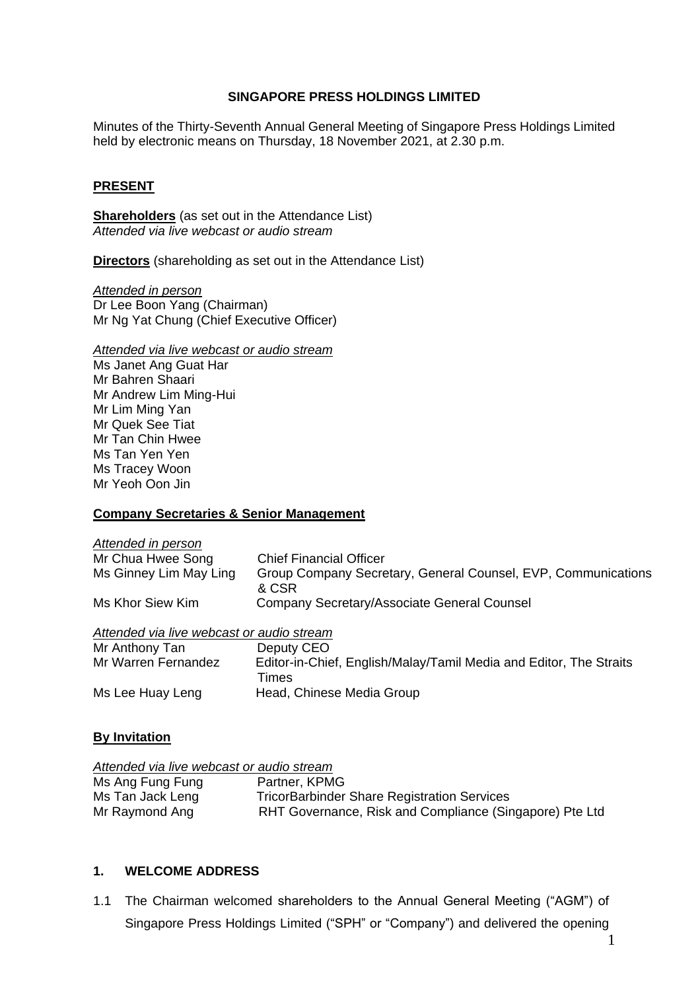#### **SINGAPORE PRESS HOLDINGS LIMITED**

Minutes of the Thirty-Seventh Annual General Meeting of Singapore Press Holdings Limited held by electronic means on Thursday, 18 November 2021, at 2.30 p.m.

## **PRESENT**

**Shareholders** (as set out in the Attendance List) *Attended via live webcast or audio stream*

**Directors** (shareholding as set out in the Attendance List)

*Attended in person* Dr Lee Boon Yang (Chairman) Mr Ng Yat Chung (Chief Executive Officer)

*Attended via live webcast or audio stream*

Ms Janet Ang Guat Har Mr Bahren Shaari Mr Andrew Lim Ming-Hui Mr Lim Ming Yan Mr Quek See Tiat Mr Tan Chin Hwee Ms Tan Yen Yen Ms Tracey Woon Mr Yeoh Oon Jin

#### **Company Secretaries & Senior Management**

# *Attended in person*

| Mr Chua Hwee Song      | <b>Chief Financial Officer</b>                                |
|------------------------|---------------------------------------------------------------|
| Ms Ginney Lim May Ling | Group Company Secretary, General Counsel, EVP, Communications |
|                        | & CSR                                                         |
| Ms Khor Siew Kim       | Company Secretary/Associate General Counsel                   |

#### *Attended via live webcast or audio stream*

| Mr Anthony Tan      | Deputy CEO                                                         |
|---------------------|--------------------------------------------------------------------|
| Mr Warren Fernandez | Editor-in-Chief, English/Malay/Tamil Media and Editor, The Straits |
|                     | Times                                                              |
| Ms Lee Huay Leng    | Head, Chinese Media Group                                          |

#### **By Invitation**

| Attended via live webcast or audio stream |                                                         |
|-------------------------------------------|---------------------------------------------------------|
| Ms Ang Fung Fung                          | Partner, KPMG                                           |
| Ms Tan Jack Leng                          | <b>TricorBarbinder Share Registration Services</b>      |
| Mr Raymond Ang                            | RHT Governance, Risk and Compliance (Singapore) Pte Ltd |

#### **1. WELCOME ADDRESS**

1.1 The Chairman welcomed shareholders to the Annual General Meeting ("AGM") of Singapore Press Holdings Limited ("SPH" or "Company") and delivered the opening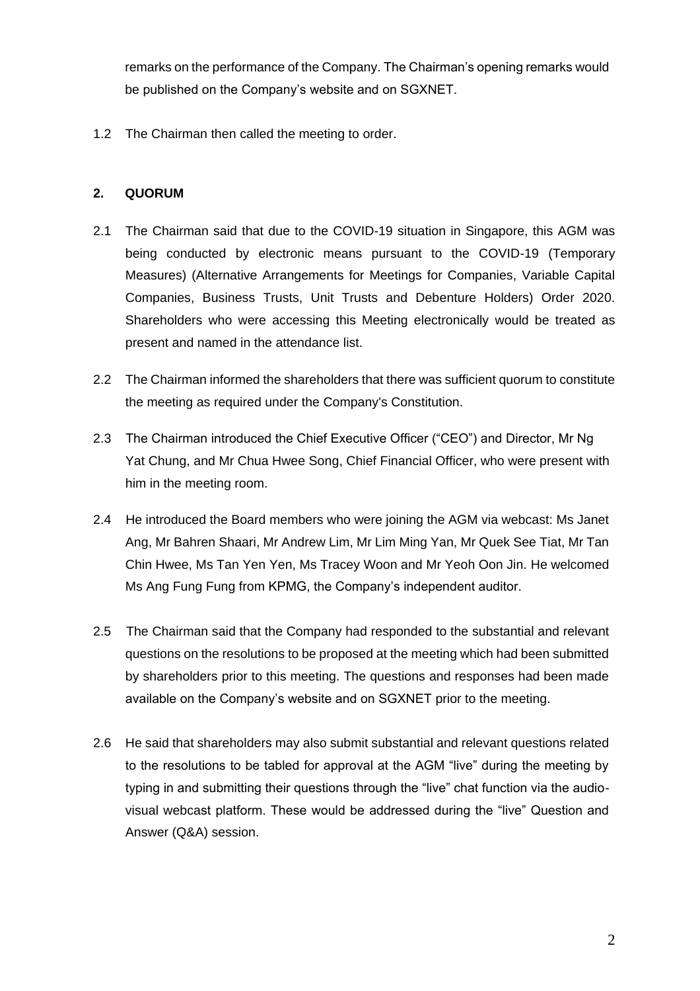remarks on the performance of the Company. The Chairman's opening remarks would be published on the Company's website and on SGXNET.

1.2 The Chairman then called the meeting to order.

## **2. QUORUM**

- 2.1 The Chairman said that due to the COVID-19 situation in Singapore, this AGM was being conducted by electronic means pursuant to the COVID-19 (Temporary Measures) (Alternative Arrangements for Meetings for Companies, Variable Capital Companies, Business Trusts, Unit Trusts and Debenture Holders) Order 2020. Shareholders who were accessing this Meeting electronically would be treated as present and named in the attendance list.
- 2.2 The Chairman informed the shareholders that there was sufficient quorum to constitute the meeting as required under the Company's Constitution.
- 2.3 The Chairman introduced the Chief Executive Officer ("CEO") and Director, Mr Ng Yat Chung, and Mr Chua Hwee Song, Chief Financial Officer, who were present with him in the meeting room.
- 2.4 He introduced the Board members who were joining the AGM via webcast: Ms Janet Ang, Mr Bahren Shaari, Mr Andrew Lim, Mr Lim Ming Yan, Mr Quek See Tiat, Mr Tan Chin Hwee, Ms Tan Yen Yen, Ms Tracey Woon and Mr Yeoh Oon Jin. He welcomed Ms Ang Fung Fung from KPMG, the Company's independent auditor.
- 2.5 The Chairman said that the Company had responded to the substantial and relevant questions on the resolutions to be proposed at the meeting which had been submitted by shareholders prior to this meeting. The questions and responses had been made available on the Company's website and on SGXNET prior to the meeting.
- 2.6 He said that shareholders may also submit substantial and relevant questions related to the resolutions to be tabled for approval at the AGM "live" during the meeting by typing in and submitting their questions through the "live" chat function via the audiovisual webcast platform. These would be addressed during the "live" Question and Answer (Q&A) session.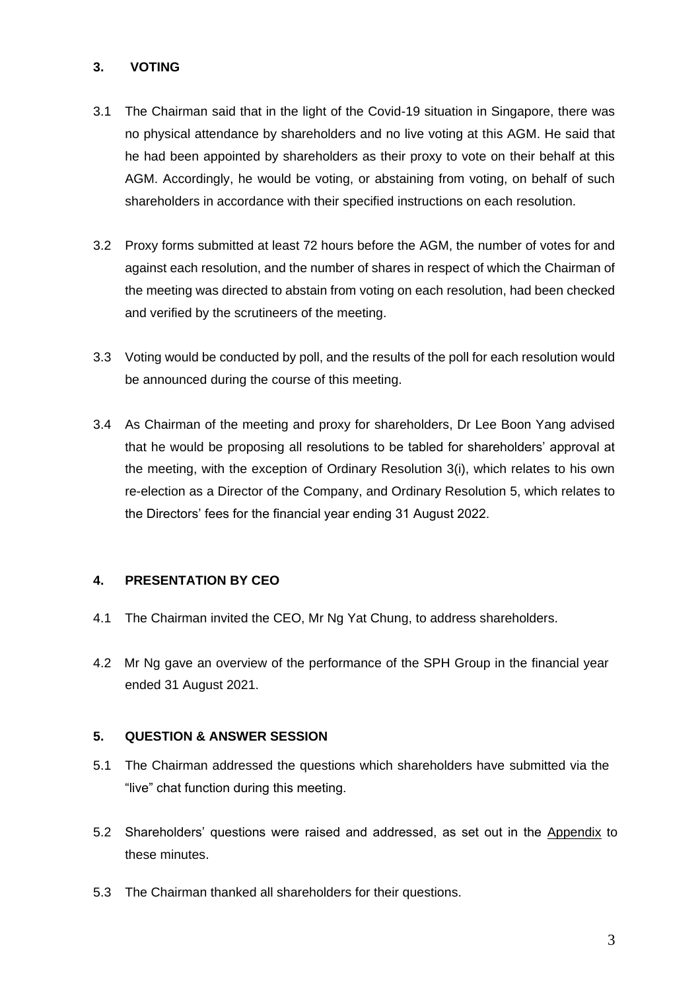## **3. VOTING**

- 3.1 The Chairman said that in the light of the Covid-19 situation in Singapore, there was no physical attendance by shareholders and no live voting at this AGM. He said that he had been appointed by shareholders as their proxy to vote on their behalf at this AGM. Accordingly, he would be voting, or abstaining from voting, on behalf of such shareholders in accordance with their specified instructions on each resolution.
- 3.2 Proxy forms submitted at least 72 hours before the AGM, the number of votes for and against each resolution, and the number of shares in respect of which the Chairman of the meeting was directed to abstain from voting on each resolution, had been checked and verified by the scrutineers of the meeting.
- 3.3 Voting would be conducted by poll, and the results of the poll for each resolution would be announced during the course of this meeting.
- 3.4 As Chairman of the meeting and proxy for shareholders, Dr Lee Boon Yang advised that he would be proposing all resolutions to be tabled for shareholders' approval at the meeting, with the exception of Ordinary Resolution 3(i), which relates to his own re-election as a Director of the Company, and Ordinary Resolution 5, which relates to the Directors' fees for the financial year ending 31 August 2022.

## **4. PRESENTATION BY CEO**

- 4.1 The Chairman invited the CEO, Mr Ng Yat Chung, to address shareholders.
- 4.2 Mr Ng gave an overview of the performance of the SPH Group in the financial year ended 31 August 2021.

## **5. QUESTION & ANSWER SESSION**

- 5.1 The Chairman addressed the questions which shareholders have submitted via the "live" chat function during this meeting.
- 5.2 Shareholders' questions were raised and addressed, as set out in the Appendix to these minutes.
- 5.3 The Chairman thanked all shareholders for their questions.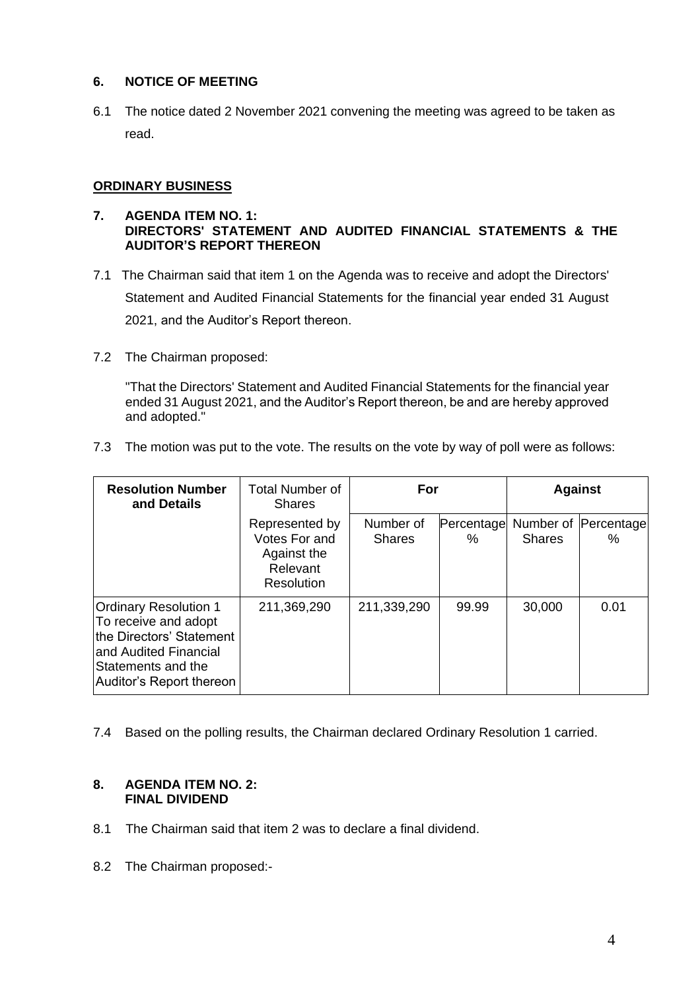#### **6. NOTICE OF MEETING**

6.1 The notice dated 2 November 2021 convening the meeting was agreed to be taken as read.

## **ORDINARY BUSINESS**

#### **7. AGENDA ITEM NO. 1: DIRECTORS' STATEMENT AND AUDITED FINANCIAL STATEMENTS & THE AUDITOR'S REPORT THEREON**

- 7.1 The Chairman said that item 1 on the Agenda was to receive and adopt the Directors' Statement and Audited Financial Statements for the financial year ended 31 August 2021, and the Auditor's Report thereon.
- 7.2 The Chairman proposed:

"That the Directors' Statement and Audited Financial Statements for the financial year ended 31 August 2021, and the Auditor's Report thereon, be and are hereby approved and adopted."

7.3 The motion was put to the vote. The results on the vote by way of poll were as follows:

| <b>Resolution Number</b><br>and Details                                                                                                                     | <b>Total Number of</b><br><b>Shares</b>                                  | For                        |                 | <b>Against</b> |                           |
|-------------------------------------------------------------------------------------------------------------------------------------------------------------|--------------------------------------------------------------------------|----------------------------|-----------------|----------------|---------------------------|
|                                                                                                                                                             | Represented by<br>Votes For and<br>Against the<br>Relevant<br>Resolution | Number of<br><b>Shares</b> | Percentage<br>% | <b>Shares</b>  | Number of Percentage<br>℅ |
| <b>Ordinary Resolution 1</b><br>To receive and adopt<br>the Directors' Statement<br>and Audited Financial<br>Statements and the<br>Auditor's Report thereon | 211,369,290                                                              | 211,339,290                | 99.99           | 30,000         | 0.01                      |

7.4 Based on the polling results, the Chairman declared Ordinary Resolution 1 carried.

#### **8. AGENDA ITEM NO. 2: FINAL DIVIDEND**

- 8.1 The Chairman said that item 2 was to declare a final dividend.
- 8.2 The Chairman proposed:-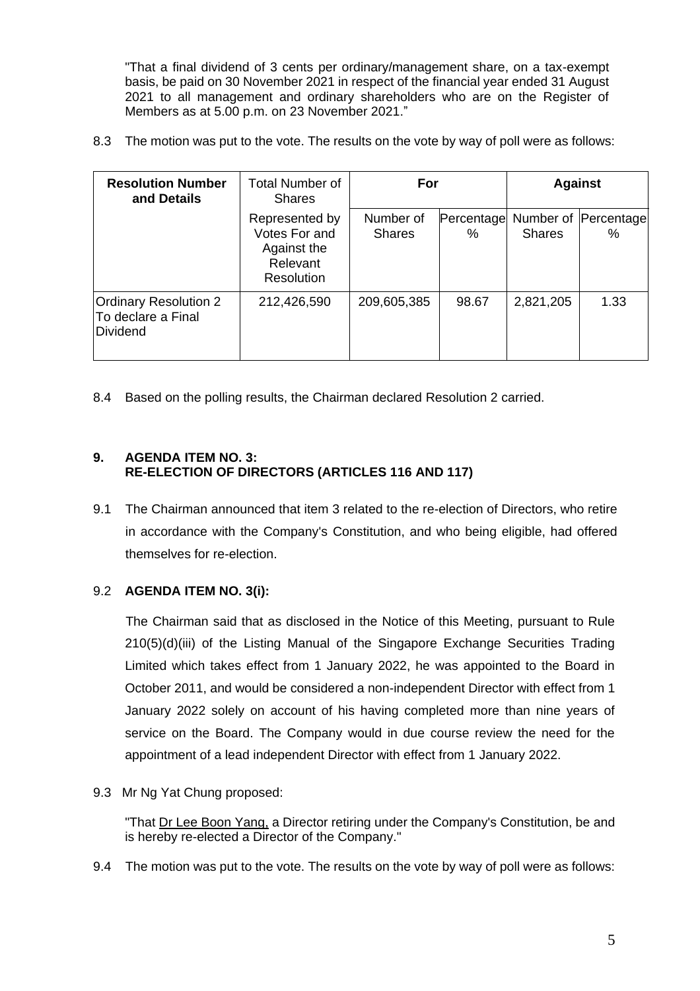"That a final dividend of 3 cents per ordinary/management share, on a tax-exempt basis, be paid on 30 November 2021 in respect of the financial year ended 31 August 2021 to all management and ordinary shareholders who are on the Register of Members as at 5.00 p.m. on 23 November 2021."

8.3 The motion was put to the vote. The results on the vote by way of poll were as follows:

| <b>Resolution Number</b><br>and Details                        | Total Number of<br><b>Shares</b>                                                |                            | For             |               | <b>Against</b>               |
|----------------------------------------------------------------|---------------------------------------------------------------------------------|----------------------------|-----------------|---------------|------------------------------|
|                                                                | Represented by<br>Votes For and<br>Against the<br>Relevant<br><b>Resolution</b> | Number of<br><b>Shares</b> | Percentage<br>% | <b>Shares</b> | Number of Percentage<br>$\%$ |
| <b>Ordinary Resolution 2</b><br>To declare a Final<br>Dividend | 212,426,590                                                                     | 209,605,385                | 98.67           | 2,821,205     | 1.33                         |

8.4 Based on the polling results, the Chairman declared Resolution 2 carried.

### **9. AGENDA ITEM NO. 3: RE-ELECTION OF DIRECTORS (ARTICLES 116 AND 117)**

9.1 The Chairman announced that item 3 related to the re-election of Directors, who retire in accordance with the Company's Constitution, and who being eligible, had offered themselves for re-election.

## 9.2 **AGENDA ITEM NO. 3(i):**

 The Chairman said that as disclosed in the Notice of this Meeting, pursuant to Rule 210(5)(d)(iii) of the Listing Manual of the Singapore Exchange Securities Trading Limited which takes effect from 1 January 2022, he was appointed to the Board in October 2011, and would be considered a non-independent Director with effect from 1 January 2022 solely on account of his having completed more than nine years of service on the Board. The Company would in due course review the need for the appointment of a lead independent Director with effect from 1 January 2022.

9.3 Mr Ng Yat Chung proposed:

"That Dr Lee Boon Yang, a Director retiring under the Company's Constitution, be and is hereby re-elected a Director of the Company."

9.4 The motion was put to the vote. The results on the vote by way of poll were as follows: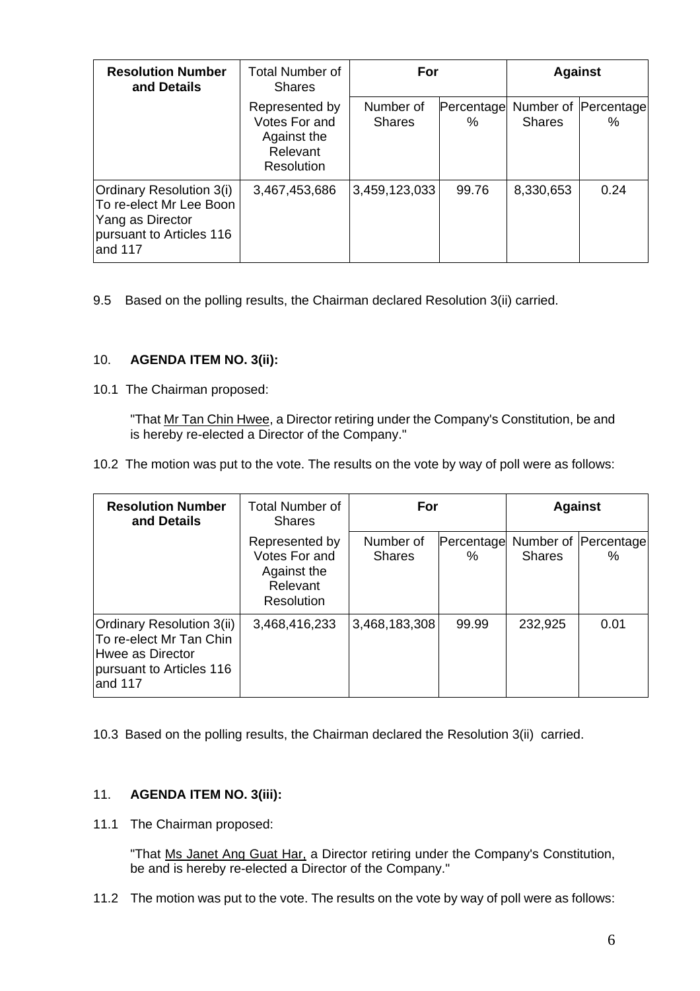| <b>Resolution Number</b><br>and Details                                                                        | Total Number of<br><b>Shares</b>                                         | For                        |                 | <b>Against</b> |                           |
|----------------------------------------------------------------------------------------------------------------|--------------------------------------------------------------------------|----------------------------|-----------------|----------------|---------------------------|
|                                                                                                                | Represented by<br>Votes For and<br>Against the<br>Relevant<br>Resolution | Number of<br><b>Shares</b> | Percentage<br>℅ | <b>Shares</b>  | Number of Percentage<br>% |
| Ordinary Resolution 3(i)<br>To re-elect Mr Lee Boon<br>Yang as Director<br>pursuant to Articles 116<br>and 117 | 3,467,453,686                                                            | 3,459,123,033              | 99.76           | 8,330,653      | 0.24                      |

9.5 Based on the polling results, the Chairman declared Resolution 3(ii) carried.

### 10. **AGENDA ITEM NO. 3(ii):**

10.1 The Chairman proposed:

"That Mr Tan Chin Hwee, a Director retiring under the Company's Constitution, be and is hereby re-elected a Director of the Company."

10.2 The motion was put to the vote. The results on the vote by way of poll were as follows:

| <b>Resolution Number</b><br>and Details                                                                         | <b>Total Number of</b><br><b>Shares</b>                                  | For                        |                 | <b>Against</b>             |                    |
|-----------------------------------------------------------------------------------------------------------------|--------------------------------------------------------------------------|----------------------------|-----------------|----------------------------|--------------------|
|                                                                                                                 | Represented by<br>Votes For and<br>Against the<br>Relevant<br>Resolution | Number of<br><b>Shares</b> | Percentage<br>℅ | Number of<br><b>Shares</b> | Percentage<br>$\%$ |
| Ordinary Resolution 3(ii)<br>To re-elect Mr Tan Chin<br>Hwee as Director<br>pursuant to Articles 116<br>and 117 | 3,468,416,233                                                            | 3,468,183,308              | 99.99           | 232,925                    | 0.01               |

10.3 Based on the polling results, the Chairman declared the Resolution 3(ii) carried.

#### 11. **AGENDA ITEM NO. 3(iii):**

11.1 The Chairman proposed:

"That Ms Janet Ang Guat Har, a Director retiring under the Company's Constitution, be and is hereby re-elected a Director of the Company."

11.2 The motion was put to the vote. The results on the vote by way of poll were as follows: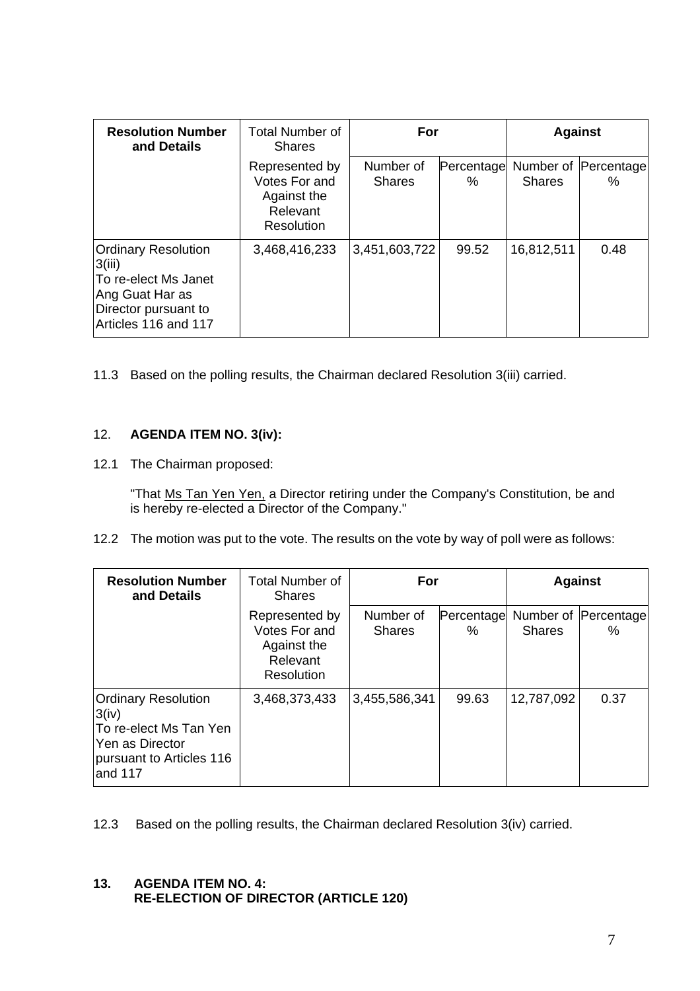| <b>Resolution Number</b><br>and Details                                                                                         | <b>Total Number of</b><br><b>Shares</b>                                  | For                        |                 | <b>Against</b> |                              |
|---------------------------------------------------------------------------------------------------------------------------------|--------------------------------------------------------------------------|----------------------------|-----------------|----------------|------------------------------|
|                                                                                                                                 | Represented by<br>Votes For and<br>Against the<br>Relevant<br>Resolution | Number of<br><b>Shares</b> | Percentage<br>℅ | <b>Shares</b>  | Number of Percentage<br>$\%$ |
| <b>Ordinary Resolution</b><br>3(iii)<br>To re-elect Ms Janet<br>Ang Guat Har as<br>Director pursuant to<br>Articles 116 and 117 | 3,468,416,233                                                            | 3,451,603,722              | 99.52           | 16,812,511     | 0.48                         |

11.3 Based on the polling results, the Chairman declared Resolution 3(iii) carried.

### 12. **AGENDA ITEM NO. 3(iv):**

12.1 The Chairman proposed:

"That Ms Tan Yen Yen, a Director retiring under the Company's Constitution, be and is hereby re-elected a Director of the Company."

12.2 The motion was put to the vote. The results on the vote by way of poll were as follows:

| <b>Resolution Number</b><br>and Details                                                                                 | <b>Total Number of</b><br><b>Shares</b>                                  | For                        |                 | <b>Against</b> |                              |
|-------------------------------------------------------------------------------------------------------------------------|--------------------------------------------------------------------------|----------------------------|-----------------|----------------|------------------------------|
|                                                                                                                         | Represented by<br>Votes For and<br>Against the<br>Relevant<br>Resolution | Number of<br><b>Shares</b> | Percentage<br>℅ | <b>Shares</b>  | Number of Percentage<br>$\%$ |
| <b>Ordinary Resolution</b><br>3(iv)<br>To re-elect Ms Tan Yen<br>Yen as Director<br>pursuant to Articles 116<br>and 117 | 3,468,373,433                                                            | 3,455,586,341              | 99.63           | 12,787,092     | 0.37                         |

12.3 Based on the polling results, the Chairman declared Resolution 3(iv) carried.

#### **13. AGENDA ITEM NO. 4: RE-ELECTION OF DIRECTOR (ARTICLE 120)**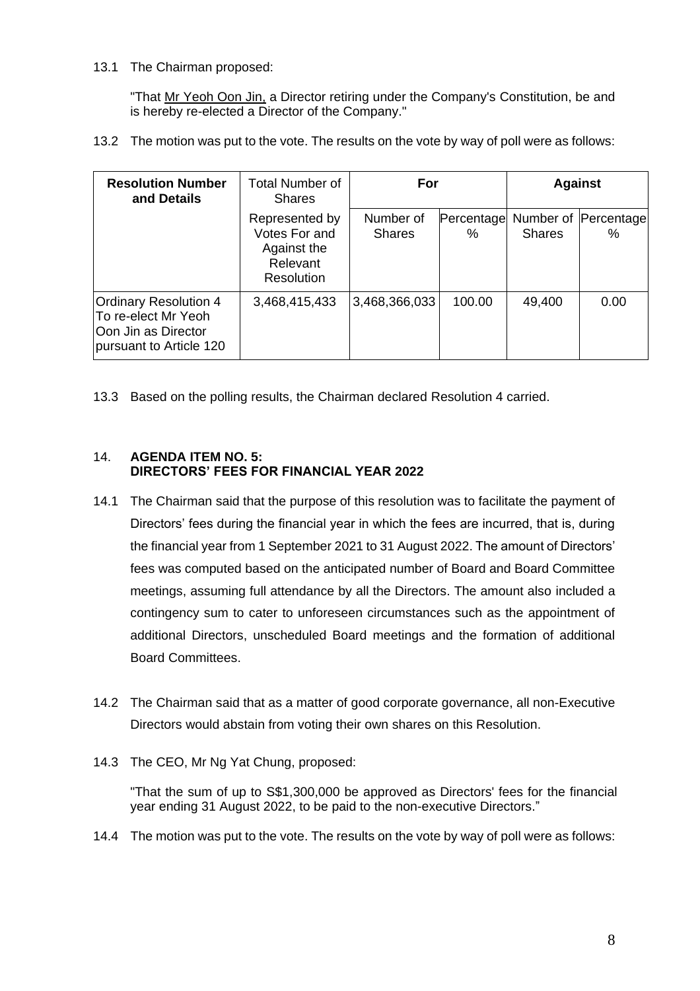#### 13.1 The Chairman proposed:

"That Mr Yeoh Oon Jin, a Director retiring under the Company's Constitution, be and is hereby re-elected a Director of the Company."

13.2 The motion was put to the vote. The results on the vote by way of poll were as follows:

| <b>Resolution Number</b><br>and Details                                                               | <b>Total Number of</b><br><b>Shares</b>                                         | For                        |                 | <b>Against</b> |                              |
|-------------------------------------------------------------------------------------------------------|---------------------------------------------------------------------------------|----------------------------|-----------------|----------------|------------------------------|
|                                                                                                       | Represented by<br>Votes For and<br>Against the<br>Relevant<br><b>Resolution</b> | Number of<br><b>Shares</b> | Percentage<br>% | <b>Shares</b>  | Number of Percentage<br>$\%$ |
| <b>Ordinary Resolution 4</b><br>To re-elect Mr Yeoh<br>Oon Jin as Director<br>pursuant to Article 120 | 3,468,415,433                                                                   | 3,468,366,033              | 100.00          | 49,400         | 0.00                         |

13.3 Based on the polling results, the Chairman declared Resolution 4 carried.

## 14. **AGENDA ITEM NO. 5: DIRECTORS' FEES FOR FINANCIAL YEAR 2022**

- 14.1 The Chairman said that the purpose of this resolution was to facilitate the payment of Directors' fees during the financial year in which the fees are incurred, that is, during the financial year from 1 September 2021 to 31 August 2022. The amount of Directors' fees was computed based on the anticipated number of Board and Board Committee meetings, assuming full attendance by all the Directors. The amount also included a contingency sum to cater to unforeseen circumstances such as the appointment of additional Directors, unscheduled Board meetings and the formation of additional Board Committees.
- 14.2 The Chairman said that as a matter of good corporate governance, all non-Executive Directors would abstain from voting their own shares on this Resolution.
- 14.3 The CEO, Mr Ng Yat Chung, proposed:

"That the sum of up to S\$1,300,000 be approved as Directors' fees for the financial year ending 31 August 2022, to be paid to the non-executive Directors."

14.4 The motion was put to the vote. The results on the vote by way of poll were as follows: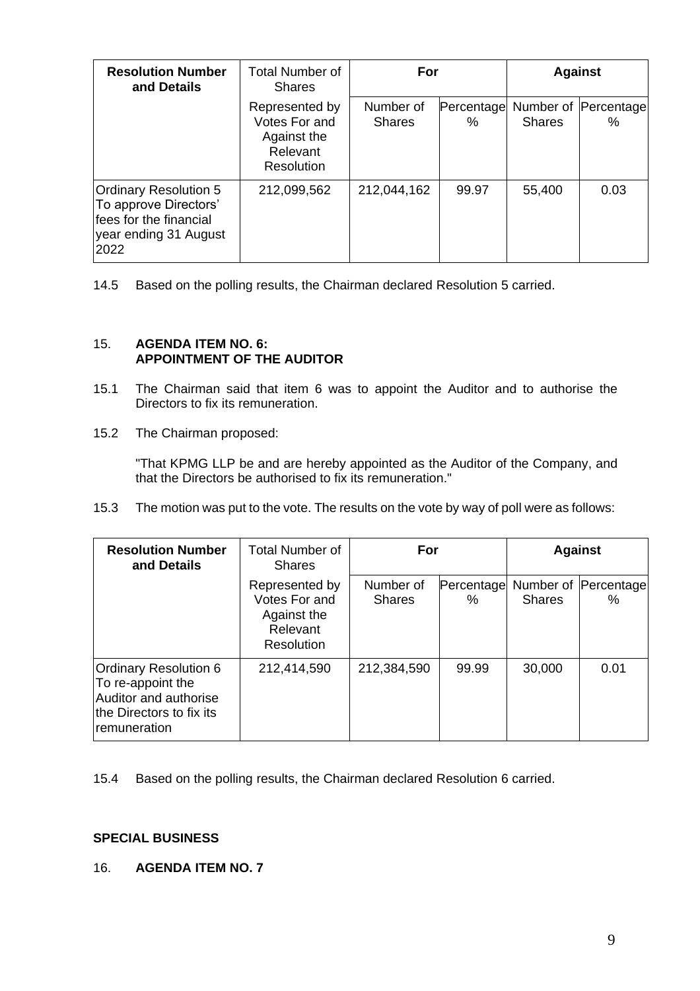| <b>Resolution Number</b><br>and Details                                                                          | Total Number of<br><b>Shares</b>                                         | For                        |                 | <b>Against</b> |                           |
|------------------------------------------------------------------------------------------------------------------|--------------------------------------------------------------------------|----------------------------|-----------------|----------------|---------------------------|
|                                                                                                                  | Represented by<br>Votes For and<br>Against the<br>Relevant<br>Resolution | Number of<br><b>Shares</b> | Percentage<br>% | <b>Shares</b>  | Number of Percentage<br>% |
| <b>Ordinary Resolution 5</b><br>To approve Directors'<br>fees for the financial<br>year ending 31 August<br>2022 | 212,099,562                                                              | 212,044,162                | 99.97           | 55,400         | 0.03                      |

14.5 Based on the polling results, the Chairman declared Resolution 5 carried.

#### 15. **AGENDA ITEM NO. 6: APPOINTMENT OF THE AUDITOR**

- 15.1 The Chairman said that item 6 was to appoint the Auditor and to authorise the Directors to fix its remuneration.
- 15.2 The Chairman proposed:

"That KPMG LLP be and are hereby appointed as the Auditor of the Company, and that the Directors be authorised to fix its remuneration."

15.3 The motion was put to the vote. The results on the vote by way of poll were as follows:

| <b>Resolution Number</b><br>and Details                                                                                | <b>Total Number of</b><br><b>Shares</b>                                  | For                        |                 | <b>Against</b> |                           |
|------------------------------------------------------------------------------------------------------------------------|--------------------------------------------------------------------------|----------------------------|-----------------|----------------|---------------------------|
|                                                                                                                        | Represented by<br>Votes For and<br>Against the<br>Relevant<br>Resolution | Number of<br><b>Shares</b> | Percentage<br>℅ | <b>Shares</b>  | Number of Percentage<br>% |
| <b>Ordinary Resolution 6</b><br>To re-appoint the<br>Auditor and authorise<br>the Directors to fix its<br>remuneration | 212,414,590                                                              | 212,384,590                | 99.99           | 30,000         | 0.01                      |

15.4 Based on the polling results, the Chairman declared Resolution 6 carried.

## **SPECIAL BUSINESS**

16. **AGENDA ITEM NO. 7**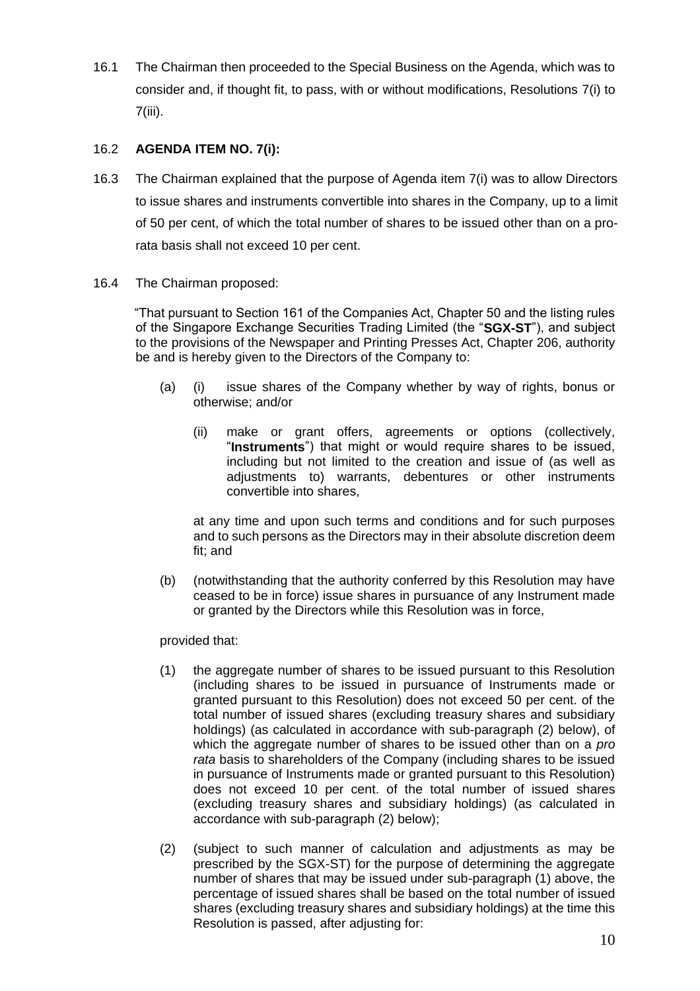16.1 The Chairman then proceeded to the Special Business on the Agenda, which was to consider and, if thought fit, to pass, with or without modifications, Resolutions 7(i) to 7(iii).

## 16.2 **AGENDA ITEM NO. 7(i):**

- 16.3 The Chairman explained that the purpose of Agenda item 7(i) was to allow Directors to issue shares and instruments convertible into shares in the Company, up to a limit of 50 per cent, of which the total number of shares to be issued other than on a prorata basis shall not exceed 10 per cent.
- 16.4 The Chairman proposed:

 "That pursuant to Section 161 of the Companies Act, Chapter 50 and the listing rules of the Singapore Exchange Securities Trading Limited (the "**SGX-ST**"), and subject to the provisions of the Newspaper and Printing Presses Act, Chapter 206, authority be and is hereby given to the Directors of the Company to:

- (a) (i) issue shares of the Company whether by way of rights, bonus or otherwise; and/or
	- (ii) make or grant offers, agreements or options (collectively, "**Instruments**") that might or would require shares to be issued, including but not limited to the creation and issue of (as well as adjustments to) warrants, debentures or other instruments convertible into shares,

at any time and upon such terms and conditions and for such purposes and to such persons as the Directors may in their absolute discretion deem fit; and

(b) (notwithstanding that the authority conferred by this Resolution may have ceased to be in force) issue shares in pursuance of any Instrument made or granted by the Directors while this Resolution was in force,

provided that:

- (1) the aggregate number of shares to be issued pursuant to this Resolution (including shares to be issued in pursuance of Instruments made or granted pursuant to this Resolution) does not exceed 50 per cent. of the total number of issued shares (excluding treasury shares and subsidiary holdings) (as calculated in accordance with sub-paragraph (2) below), of which the aggregate number of shares to be issued other than on a *pro rata* basis to shareholders of the Company (including shares to be issued in pursuance of Instruments made or granted pursuant to this Resolution) does not exceed 10 per cent. of the total number of issued shares (excluding treasury shares and subsidiary holdings) (as calculated in accordance with sub-paragraph (2) below);
- (2) (subject to such manner of calculation and adjustments as may be prescribed by the SGX-ST) for the purpose of determining the aggregate number of shares that may be issued under sub-paragraph (1) above, the percentage of issued shares shall be based on the total number of issued shares (excluding treasury shares and subsidiary holdings) at the time this Resolution is passed, after adjusting for: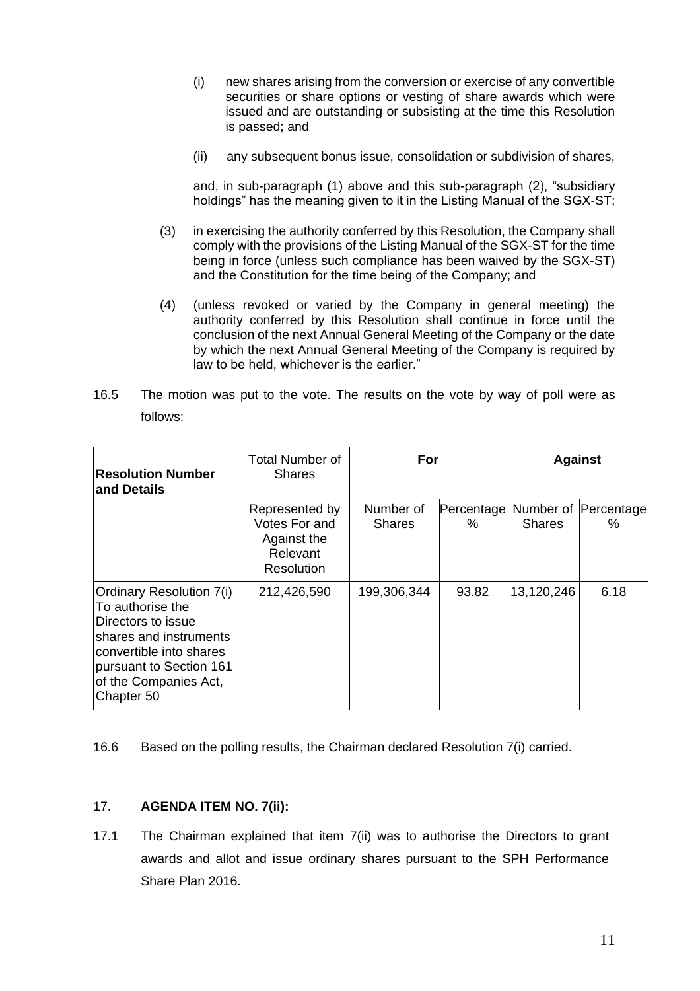- (i) new shares arising from the conversion or exercise of any convertible securities or share options or vesting of share awards which were issued and are outstanding or subsisting at the time this Resolution is passed; and
- (ii) any subsequent bonus issue, consolidation or subdivision of shares,

and, in sub-paragraph (1) above and this sub-paragraph (2), "subsidiary holdings" has the meaning given to it in the Listing Manual of the SGX-ST;

- (3) in exercising the authority conferred by this Resolution, the Company shall comply with the provisions of the Listing Manual of the SGX-ST for the time being in force (unless such compliance has been waived by the SGX-ST) and the Constitution for the time being of the Company; and
- (4) (unless revoked or varied by the Company in general meeting) the authority conferred by this Resolution shall continue in force until the conclusion of the next Annual General Meeting of the Company or the date by which the next Annual General Meeting of the Company is required by law to be held, whichever is the earlier."
- 16.5 The motion was put to the vote. The results on the vote by way of poll were as follows:

| <b>Resolution Number</b><br>and Details                                                                                                                                                          | Total Number of<br><b>Shares</b>                                         | For                        |                 | <b>Against</b> |                           |
|--------------------------------------------------------------------------------------------------------------------------------------------------------------------------------------------------|--------------------------------------------------------------------------|----------------------------|-----------------|----------------|---------------------------|
|                                                                                                                                                                                                  | Represented by<br>Votes For and<br>Against the<br>Relevant<br>Resolution | Number of<br><b>Shares</b> | Percentage<br>℅ | Shares         | Number of Percentage<br>% |
| <b>Ordinary Resolution 7(i)</b><br>To authorise the<br>Directors to issue<br>shares and instruments<br>convertible into shares<br>pursuant to Section 161<br>of the Companies Act,<br>Chapter 50 | 212,426,590                                                              | 199,306,344                | 93.82           | 13,120,246     | 6.18                      |

16.6 Based on the polling results, the Chairman declared Resolution 7(i) carried.

#### 17. **AGENDA ITEM NO. 7(ii):**

17.1 The Chairman explained that item 7(ii) was to authorise the Directors to grant awards and allot and issue ordinary shares pursuant to the SPH Performance Share Plan 2016.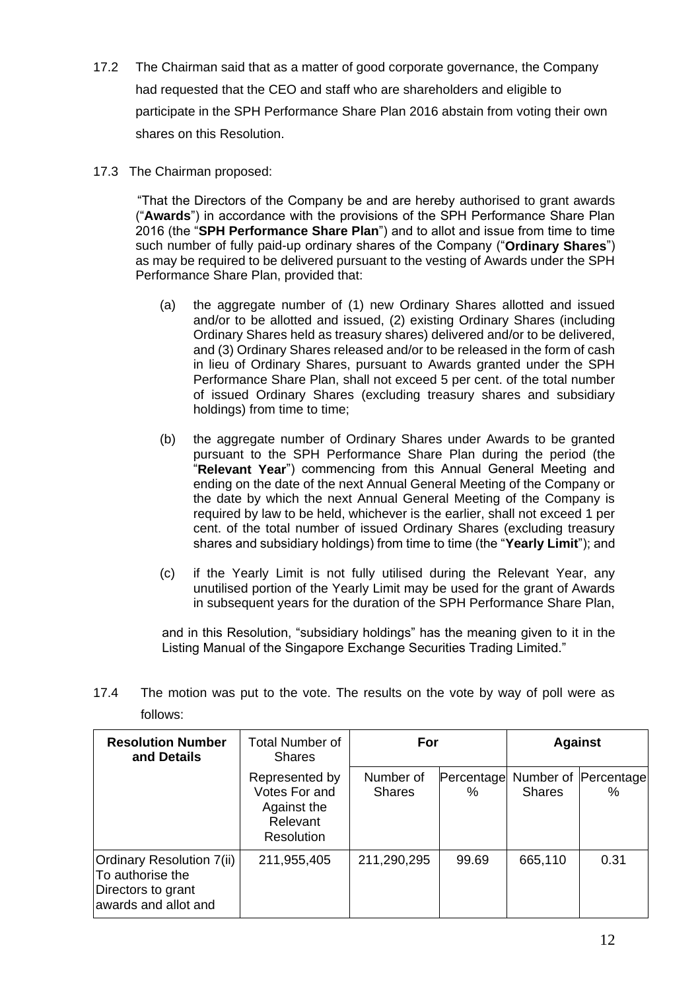- 17.2 The Chairman said that as a matter of good corporate governance, the Company had requested that the CEO and staff who are shareholders and eligible to participate in the SPH Performance Share Plan 2016 abstain from voting their own shares on this Resolution.
- 17.3 The Chairman proposed:

 "That the Directors of the Company be and are hereby authorised to grant awards ("**Awards**") in accordance with the provisions of the SPH Performance Share Plan 2016 (the "**SPH Performance Share Plan**") and to allot and issue from time to time such number of fully paid-up ordinary shares of the Company ("**Ordinary Shares**") as may be required to be delivered pursuant to the vesting of Awards under the SPH Performance Share Plan, provided that:

- (a) the aggregate number of (1) new Ordinary Shares allotted and issued and/or to be allotted and issued, (2) existing Ordinary Shares (including Ordinary Shares held as treasury shares) delivered and/or to be delivered, and (3) Ordinary Shares released and/or to be released in the form of cash in lieu of Ordinary Shares, pursuant to Awards granted under the SPH Performance Share Plan, shall not exceed 5 per cent. of the total number of issued Ordinary Shares (excluding treasury shares and subsidiary holdings) from time to time;
- (b) the aggregate number of Ordinary Shares under Awards to be granted pursuant to the SPH Performance Share Plan during the period (the "**Relevant Year**") commencing from this Annual General Meeting and ending on the date of the next Annual General Meeting of the Company or the date by which the next Annual General Meeting of the Company is required by law to be held, whichever is the earlier, shall not exceed 1 per cent. of the total number of issued Ordinary Shares (excluding treasury shares and subsidiary holdings) from time to time (the "**Yearly Limit**"); and
- (c) if the Yearly Limit is not fully utilised during the Relevant Year, any unutilised portion of the Yearly Limit may be used for the grant of Awards in subsequent years for the duration of the SPH Performance Share Plan,

and in this Resolution, "subsidiary holdings" has the meaning given to it in the Listing Manual of the Singapore Exchange Securities Trading Limited."

| <b>Resolution Number</b><br>and Details                                                     | Total Number of<br><b>Shares</b>                                         | For                        |                 | <b>Against</b> |                           |
|---------------------------------------------------------------------------------------------|--------------------------------------------------------------------------|----------------------------|-----------------|----------------|---------------------------|
|                                                                                             | Represented by<br>Votes For and<br>Against the<br>Relevant<br>Resolution | Number of<br><b>Shares</b> | Percentage<br>% | <b>Shares</b>  | Number of Percentage<br>% |
| Ordinary Resolution 7(ii)<br>To authorise the<br>Directors to grant<br>awards and allot and | 211,955,405                                                              | 211,290,295                | 99.69           | 665,110        | 0.31                      |

17.4 The motion was put to the vote. The results on the vote by way of poll were as follows: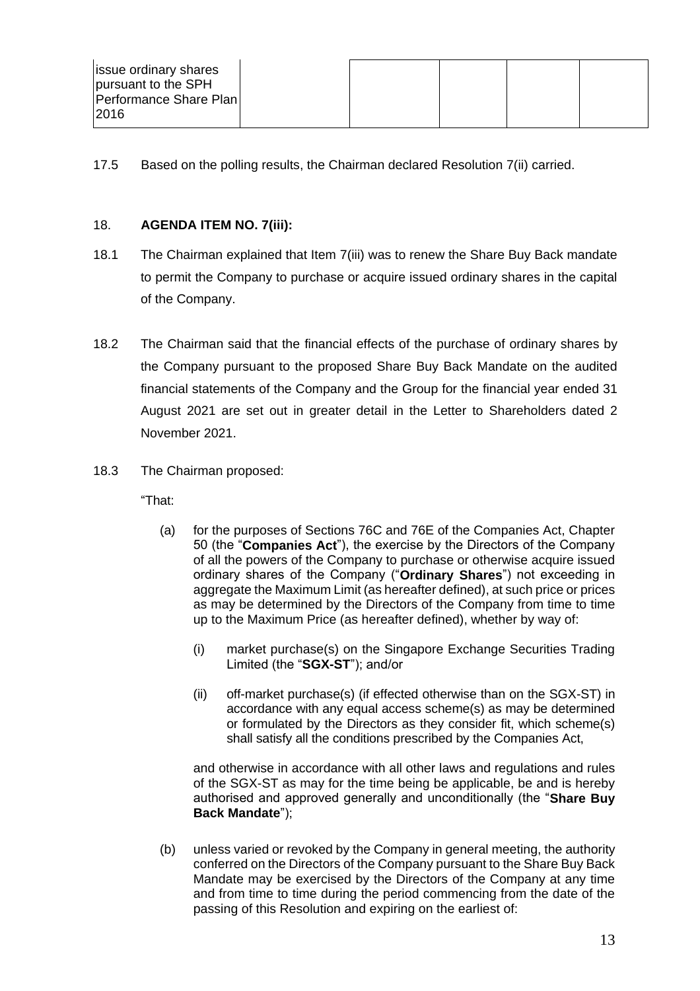| <b>issue ordinary shares</b><br>pursuant to the SPH |  |  |  |
|-----------------------------------------------------|--|--|--|
| Performance Share Plan<br> 2016                     |  |  |  |

17.5 Based on the polling results, the Chairman declared Resolution 7(ii) carried.

### 18. **AGENDA ITEM NO. 7(iii):**

- 18.1 The Chairman explained that Item 7(iii) was to renew the Share Buy Back mandate to permit the Company to purchase or acquire issued ordinary shares in the capital of the Company.
- 18.2 The Chairman said that the financial effects of the purchase of ordinary shares by the Company pursuant to the proposed Share Buy Back Mandate on the audited financial statements of the Company and the Group for the financial year ended 31 August 2021 are set out in greater detail in the Letter to Shareholders dated 2 November 2021.
- 18.3 The Chairman proposed:

"That:

- (a) for the purposes of Sections 76C and 76E of the Companies Act, Chapter 50 (the "**Companies Act**"), the exercise by the Directors of the Company of all the powers of the Company to purchase or otherwise acquire issued ordinary shares of the Company ("**Ordinary Shares**") not exceeding in aggregate the Maximum Limit (as hereafter defined), at such price or prices as may be determined by the Directors of the Company from time to time up to the Maximum Price (as hereafter defined), whether by way of:
	- (i) market purchase(s) on the Singapore Exchange Securities Trading Limited (the "**SGX-ST**"); and/or
	- (ii) off-market purchase(s) (if effected otherwise than on the SGX-ST) in accordance with any equal access scheme(s) as may be determined or formulated by the Directors as they consider fit, which scheme(s) shall satisfy all the conditions prescribed by the Companies Act,

and otherwise in accordance with all other laws and regulations and rules of the SGX-ST as may for the time being be applicable, be and is hereby authorised and approved generally and unconditionally (the "**Share Buy Back Mandate**");

(b) unless varied or revoked by the Company in general meeting, the authority conferred on the Directors of the Company pursuant to the Share Buy Back Mandate may be exercised by the Directors of the Company at any time and from time to time during the period commencing from the date of the passing of this Resolution and expiring on the earliest of: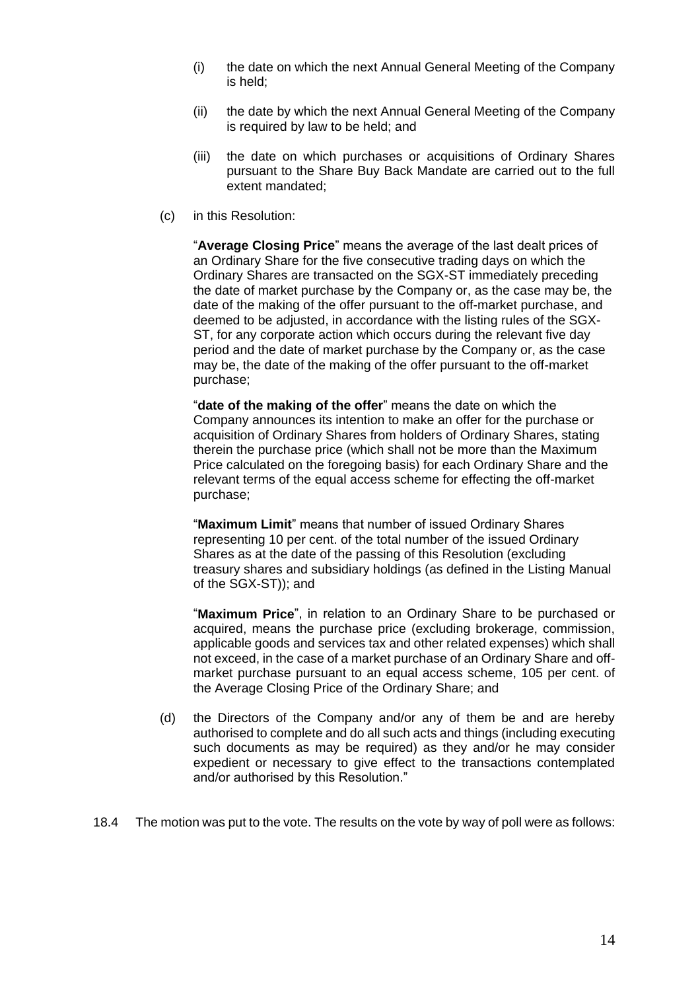- (i) the date on which the next Annual General Meeting of the Company is held;
- (ii) the date by which the next Annual General Meeting of the Company is required by law to be held; and
- (iii) the date on which purchases or acquisitions of Ordinary Shares pursuant to the Share Buy Back Mandate are carried out to the full extent mandated;
- (c) in this Resolution:

"**Average Closing Price**" means the average of the last dealt prices of an Ordinary Share for the five consecutive trading days on which the Ordinary Shares are transacted on the SGX-ST immediately preceding the date of market purchase by the Company or, as the case may be, the date of the making of the offer pursuant to the off-market purchase, and deemed to be adjusted, in accordance with the listing rules of the SGX-ST, for any corporate action which occurs during the relevant five day period and the date of market purchase by the Company or, as the case may be, the date of the making of the offer pursuant to the off-market purchase;

"**date of the making of the offer**" means the date on which the Company announces its intention to make an offer for the purchase or acquisition of Ordinary Shares from holders of Ordinary Shares, stating therein the purchase price (which shall not be more than the Maximum Price calculated on the foregoing basis) for each Ordinary Share and the relevant terms of the equal access scheme for effecting the off-market purchase;

"**Maximum Limit**" means that number of issued Ordinary Shares representing 10 per cent. of the total number of the issued Ordinary Shares as at the date of the passing of this Resolution (excluding treasury shares and subsidiary holdings (as defined in the Listing Manual of the SGX-ST)); and

"**Maximum Price**", in relation to an Ordinary Share to be purchased or acquired, means the purchase price (excluding brokerage, commission, applicable goods and services tax and other related expenses) which shall not exceed, in the case of a market purchase of an Ordinary Share and offmarket purchase pursuant to an equal access scheme, 105 per cent. of the Average Closing Price of the Ordinary Share; and

- (d) the Directors of the Company and/or any of them be and are hereby authorised to complete and do all such acts and things (including executing such documents as may be required) as they and/or he may consider expedient or necessary to give effect to the transactions contemplated and/or authorised by this Resolution."
- 18.4 The motion was put to the vote. The results on the vote by way of poll were as follows: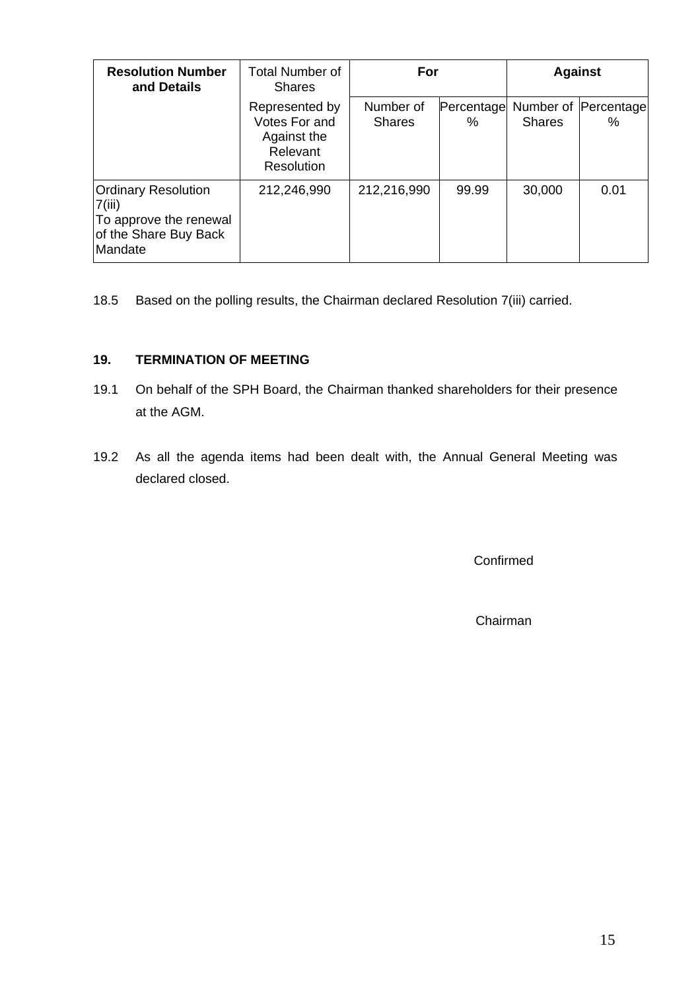| <b>Resolution Number</b><br>and Details                                                            | <b>Total Number of</b><br><b>Shares</b>                                  | For                        |                 | <b>Against</b> |                           |
|----------------------------------------------------------------------------------------------------|--------------------------------------------------------------------------|----------------------------|-----------------|----------------|---------------------------|
|                                                                                                    | Represented by<br>Votes For and<br>Against the<br>Relevant<br>Resolution | Number of<br><b>Shares</b> | Percentage<br>℅ | <b>Shares</b>  | Number of Percentage<br>% |
| <b>Ordinary Resolution</b><br>7(iii)<br>To approve the renewal<br>of the Share Buy Back<br>Mandate | 212,246,990                                                              | 212,216,990                | 99.99           | 30,000         | 0.01                      |

18.5 Based on the polling results, the Chairman declared Resolution 7(iii) carried.

## **19. TERMINATION OF MEETING**

- 19.1 On behalf of the SPH Board, the Chairman thanked shareholders for their presence at the AGM.
- 19.2 As all the agenda items had been dealt with, the Annual General Meeting was declared closed.

Confirmed

Chairman